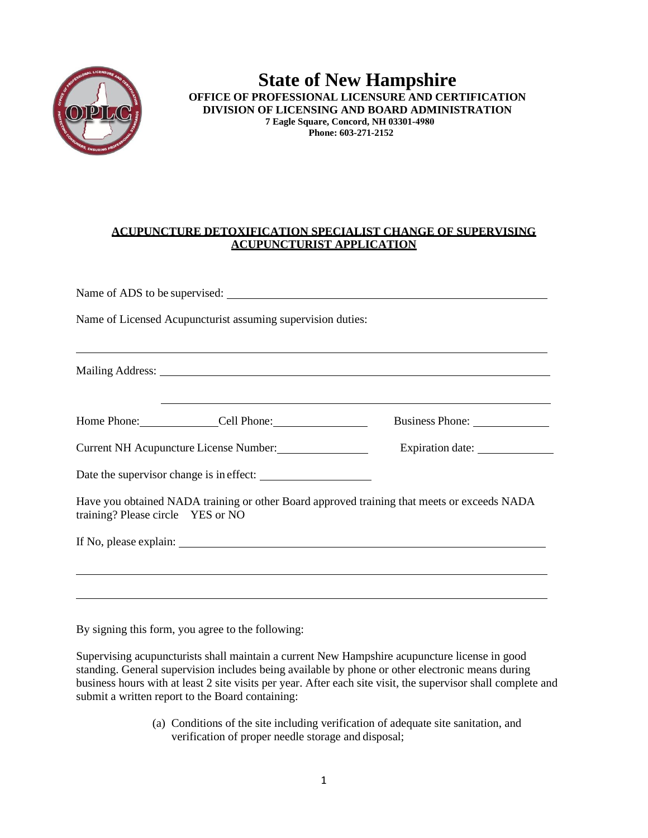

## **State of New Hampshire OFFICE OF PROFESSIONAL LICENSURE AND CERTIFICATION DIVISION OF LICENSING AND BOARD ADMINISTRATION 7 Eagle Square, Concord, NH 03301-4980 Phone: 603-271-2152**

## **ACUPUNCTURE DETOXIFICATION SPECIALIST CHANGE OF SUPERVISING ACUPUNCTURIST APPLICATION**

|                                                                                                | Name of Licensed Acupuncturist assuming supervision duties: |                                                                                                                                                                                                                                         |
|------------------------------------------------------------------------------------------------|-------------------------------------------------------------|-----------------------------------------------------------------------------------------------------------------------------------------------------------------------------------------------------------------------------------------|
|                                                                                                |                                                             | <u> 2000 - Andrea Andrea Andrea Andrea Andrea Andrea Andrea Andrea Andrea Andrea Andrea Andrea Andrea Andrea Andr</u><br>Mailing Address: 1988 and 2008 and 2008 and 2008 and 2008 and 2008 and 2008 and 2008 and 2008 and 2008 and 200 |
|                                                                                                |                                                             |                                                                                                                                                                                                                                         |
|                                                                                                | Home Phone: Cell Phone: Cell Phone:                         | Business Phone:                                                                                                                                                                                                                         |
| Current NH Acupuncture License Number: Expiration date: Current NH Acupuncture License Number: |                                                             |                                                                                                                                                                                                                                         |
|                                                                                                | Date the supervisor change is in effect:                    |                                                                                                                                                                                                                                         |
| training? Please circle YES or NO                                                              |                                                             | Have you obtained NADA training or other Board approved training that meets or exceeds NADA                                                                                                                                             |
|                                                                                                |                                                             |                                                                                                                                                                                                                                         |
|                                                                                                |                                                             |                                                                                                                                                                                                                                         |
|                                                                                                |                                                             |                                                                                                                                                                                                                                         |
|                                                                                                |                                                             |                                                                                                                                                                                                                                         |

By signing this form, you agree to the following:

Supervising acupuncturists shall maintain a current New Hampshire acupuncture license in good standing. General supervision includes being available by phone or other electronic means during business hours with at least 2 site visits per year. After each site visit, the supervisor shall complete and submit a written report to the Board containing:

> (a) Conditions of the site including verification of adequate site sanitation, and verification of proper needle storage and disposal;